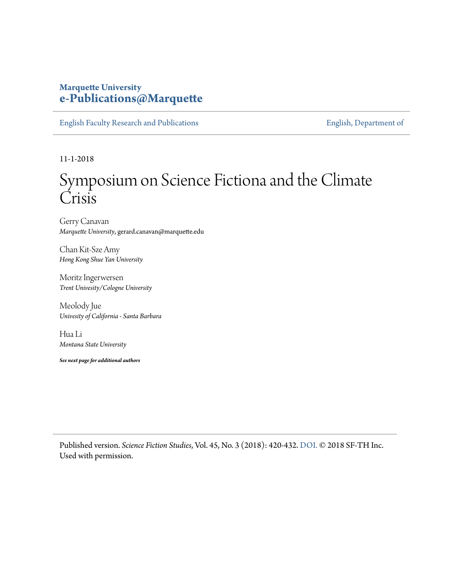## **Marquette University [e-Publications@Marquette](https://epublications.marquette.edu)**

[English Faculty Research and Publications](https://epublications.marquette.edu/english_fac) **[English, Department of](https://epublications.marquette.edu/english)** 

11-1-2018

## Symposium on Science Fictiona and the Climate Crisis

Gerry Canavan *Marquette University*, gerard.canavan@marquette.edu

Chan Kit-Sze Amy *Hong Kong Shue Yan University*

Moritz Ingerwersen *Trent Univesity/Cologne University*

Meolody Jue *Univesity of California - Santa Barbara*

Hua Li *Montana State University*

*See next page for additional authors*

Published version. *Science Fiction Studies*, Vol. 45, No. 3 (2018): 420-432. [DOI.](https://doi.org/10.5621/sciefictstud.45.3.0420) © 2018 SF-TH Inc. Used with permission.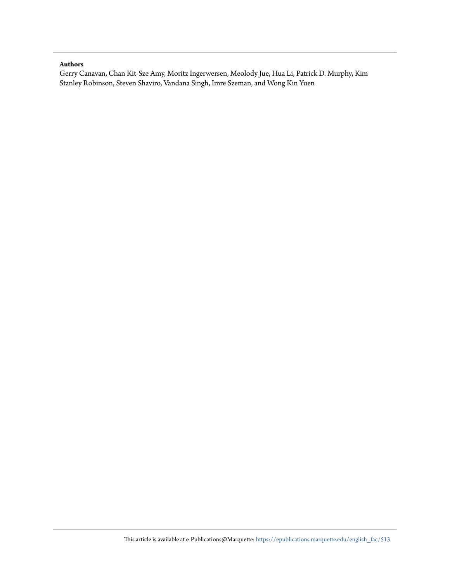## **Authors**

Gerry Canavan, Chan Kit-Sze Amy, Moritz Ingerwersen, Meolody Jue, Hua Li, Patrick D. Murphy, Kim Stanley Robinson, Steven Shaviro, Vandana Singh, Imre Szeman, and Wong Kin Yuen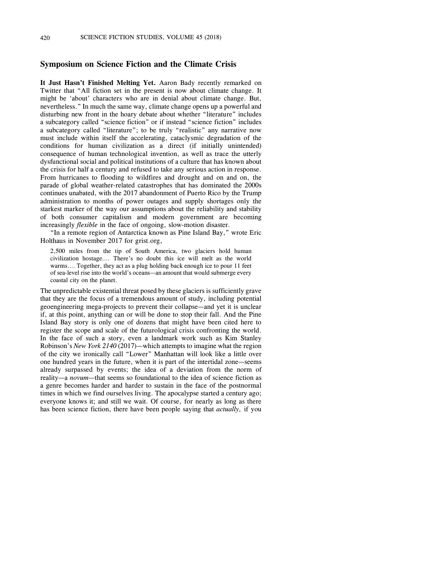## **Symposium on Science Fiction and the Climate Crisis**

 **It Just Hasn't Finished Melting Yet.** Aaron Bady recently remarked on Twitter that "All fiction set in the present is now about climate change. It might be 'about' characters who are in denial about climate change. But, nevertheless." In much the same way, climate change opens up a powerful and a subcategory called "science fiction" or if instead "science fiction" includes a subcategory called "literature"; to be truly "realistic" any narrative now conditions for human civilization as a direct (if initially unintended) the crisis for half a century and refused to take any serious action in response. From hurricanes to flooding to wildfires and drought and on and on, the parade of global weather-related catastrophes that has dominated the 2000s continues unabated, with the 2017 abandonment of Puerto Rico by the Trump administration to months of power outages and supply shortages only the starkest marker of the way our assumptions about the reliability and stability of both consumer capitalism and modern government are becoming disturbing new front in the hoary debate about whether "literature" includes must include within itself the accelerating, cataclysmic degradation of the consequence of human technological invention, as well as trace the utterly dysfunctional social and political institutions of a culture that has known about increasingly *flexible* in the face of ongoing, slow-motion disaster.

"In a remote region of Antarctica known as Pine Island Bay," wrote Eric Holthaus in November 2017 for grist.org,

 2,500 miles from the tip of South America, two glaciers hold human warms.… Together, they act as a plug holding back enough ice to pour 11 feet of sea-level rise into the world's oceans—an amount that would submerge every civilization hostage.… There's no doubt this ice will melt as the world coastal city on the planet.

 The unpredictable existential threat posed by these glaciers is sufficiently grave if, at this point, anything can or will be done to stop their fall. And the Pine Island Bay story is only one of dozens that might have been cited here to In the face of such a story, even a landmark work such as Kim Stanley Robinson's *New York 2140* (2017)—which attempts to imagine what the region of the city we ironically call "Lower" Manhattan will look like a little over one hundred years in the future, when it is part of the intertidal zone—seems already surpassed by events; the idea of a deviation from the norm of a genre becomes harder and harder to sustain in the face of the postnormal times in which we find ourselves living. The apocalypse started a century ago; everyone knows it; and still we wait. Of course, for nearly as long as there that they are the focus of a tremendous amount of study, including potential geoengineering mega-projects to prevent their collapse—and yet it is unclear register the scope and scale of the futurological crisis confronting the world. reality—a *novum*—that seems so foundational to the idea of science fiction as has been science fiction, there have been people saying that *actually,* if you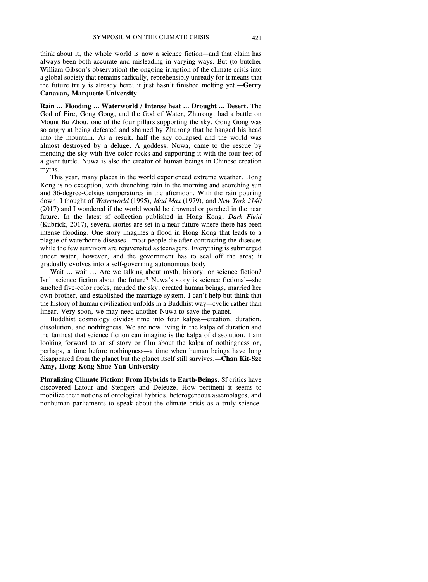think about it, the whole world is now a science fiction—and that claim has always been both accurate and misleading in varying ways. But (to butcher William Gibson's observation) the ongoing irruption of the climate crisis into a global society that remains radically, reprehensibly unready for it means that the future truly is already here; it just hasn't finished melting yet.—**Gerry Canavan, Marquette University** 

 Mount Bu Zhou, one of the four pillars supporting the sky. Gong Gong was so angry at being defeated and shamed by Zhurong that he banged his head into the mountain. As a result, half the sky collapsed and the world was almost destroyed by a deluge. A goddess, Nuwa, came to the rescue by mending the sky with five-color rocks and supporting it with the four feet of **Rain … Flooding … Waterworld / Intense heat … Drought … Desert.** The God of Fire, Gong Gong, and the God of Water, Zhurong, had a battle on a giant turtle. Nuwa is also the creator of human beings in Chinese creation myths.

 Kong is no exception, with drenching rain in the morning and scorching sun and 36-degree-Celsius temperatures in the afternoon. With the rain pouring (2017) and I wondered if the world would be drowned or parched in the near future. In the latest sf collection published in Hong Kong, *Dark Fluid*  intense flooding. One story imagines a flood in Hong Kong that leads to a This year, many places in the world experienced extreme weather. Hong down, I thought of *Waterworld* (1995), *Mad Max* (1979), and *New York 2140*  (Kubrick, 2017), several stories are set in a near future where there has been plague of waterborne diseases—most people die after contracting the diseases while the few survivors are rejuvenated as teenagers. Everything is submerged under water, however, and the government has to seal off the area; it gradually evolves into a self-governing autonomous body.

 smelted five-color rocks, mended the sky, created human beings, married her own brother, and established the marriage system. I can't help but think that the history of human civilization unfolds in a Buddhist way—cyclic rather than Wait ... wait ... Are we talking about myth, history, or science fiction? Isn't science fiction about the future? Nuwa's story is science fictional—she linear. Very soon, we may need another Nuwa to save the planet.

 dissolution, and nothingness. We are now living in the kalpa of duration and the farthest that science fiction can imagine is the kalpa of dissolution. I am looking forward to an sf story or film about the kalpa of nothingness or, perhaps, a time before nothingness—a time when human beings have long disappeared from the planet but the planet itself still survives.**—Chan Kit-Sze**  Buddhist cosmology divides time into four kalpas—creation, duration, **Amy, Hong Kong Shue Yan University** 

 discovered Latour and Stengers and Deleuze. How pertinent it seems to nonhuman parliaments to speak about the climate crisis as a truly science-**Pluralizing Climate Fiction: From Hybrids to Earth-Beings.** Sf critics have mobilize their notions of ontological hybrids, heterogeneous assemblages, and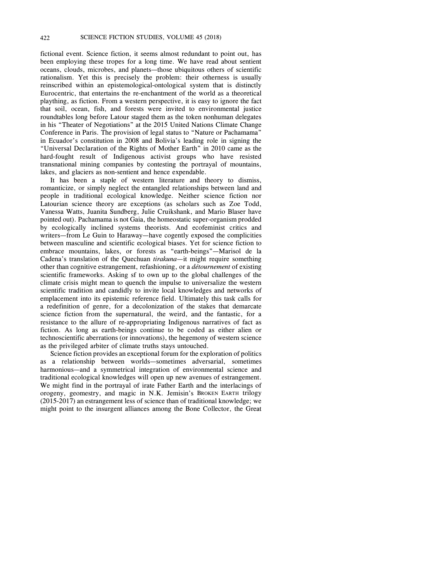fictional event. Science fiction, it seems almost redundant to point out, has been employing these tropes for a long time. We have read about sentient oceans, clouds, microbes, and planets—those ubiquitous others of scientific reinscribed within an epistemological-ontological system that is distinctly plaything, as fiction. From a western perspective, it is easy to ignore the fact that soil, ocean, fish, and forests were invited to environmental justice roundtables long before Latour staged them as the token nonhuman delegates in Ecuador's constitution in 2008 and Bolivia's leading role in signing the "Universal Declaration of the Rights of Mother Earth" in 2010 came as the transnational mining companies by contesting the portrayal of mountains, rationalism. Yet this is precisely the problem: their otherness is usually Eurocentric, that entertains the re-enchantment of the world as a theoretical in his "Theater of Negotiations" at the 2015 United Nations Climate Change Conference in Paris. The provision of legal status to "Nature or Pachamama" hard-fought result of Indigenous activist groups who have resisted lakes, and glaciers as non-sentient and hence expendable.

 It has been a staple of western literature and theory to dismiss, Vanessa Watts, Juanita Sundberg, Julie Cruikshank, and Mario Blaser have by ecologically inclined systems theorists. And ecofeminist critics and writers—from Le Guin to Haraway—have cogently exposed the complicities scientific frameworks. Asking sf to own up to the global challenges of the climate crisis might mean to quench the impulse to universalize the western scientific tradition and candidly to invite local knowledges and networks of emplacement into its epistemic reference field. Ultimately this task calls for a redefinition of genre, for a decolonization of the stakes that demarcate science fiction from the supernatural, the weird, and the fantastic, for a fiction. As long as earth-beings continue to be coded as either alien or technoscientific aberrations (or innovations), the hegemony of western science romanticize, or simply neglect the entangled relationships between land and people in traditional ecological knowledge. Neither science fiction nor Latourian science theory are exceptions (as scholars such as Zoe Todd, pointed out). Pachamama is not Gaia, the homeostatic super-organism prodded between masculine and scientific ecological biases. Yet for science fiction to embrace mountains, lakes, or forests as "earth-beings"—Marisol de la Cadena's translation of the Quechuan *tirakuna—*it might require something other than cognitive estrangement, refashioning, or a *détournement* of existing resistance to the allure of re-appropriating Indigenous narratives of fact as as the privileged arbiter of climate truths stays untouched.

 Science fiction provides an exceptional forum for the exploration of politics as a relationship between worlds—sometimes adversarial, sometimes We might find in the portrayal of irate Father Earth and the interlacings of orogeny, geomestry, and magic in N.K. Jemisin's BROKEN EARTH trilogy might point to the insurgent alliances among the Bone Collector, the Great harmonious—and a symmetrical integration of environmental science and traditional ecological knowledges will open up new avenues of estrangement. (2015-2017) an estrangement less of science than of traditional knowledge; we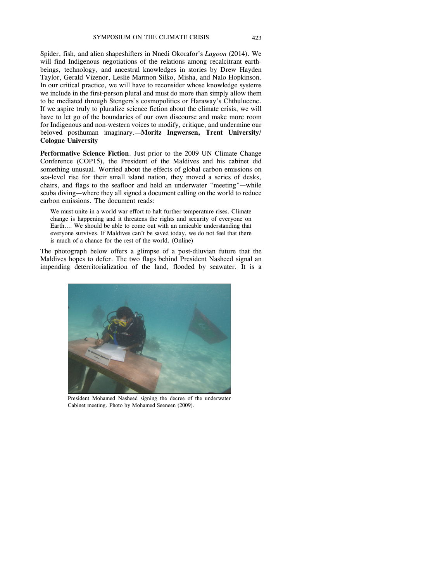Spider, fish, and alien shapeshifters in Nnedi Okorafor's *Lagoon* (2014). We beings, technology, and ancestral knowledges in stories by Drew Hayden Taylor, Gerald Vizenor, Leslie Marmon Silko, Misha, and Nalo Hopkinson. we include in the first-person plural and must do more than simply allow them If we aspire truly to pluralize science fiction about the climate crisis, we will have to let go of the boundaries of our own discourse and make more room for Indigenous and non-western voices to modify, critique, and undermine our beloved posthuman imaginary.**—Moritz Ingwersen, Trent University/**  will find Indigenous negotiations of the relations among recalcitrant earth-In our critical practice, we will have to reconsider whose knowledge systems to be mediated through Stengers's cosmopolitics or Haraway's Chthulucene. **Cologne University** 

 sea-level rise for their small island nation, they moved a series of desks, chairs, and flags to the seafloor and held an underwater "meeting"—while scuba diving—where they all signed a document calling on the world to reduce **Performative Science Fiction**. Just prior to the 2009 UN Climate Change Conference (COP15), the President of the Maldives and his cabinet did something unusual. Worried about the effects of global carbon emissions on carbon emissions. The document reads:

 We must unite in a world war effort to halt further temperature rises. Climate change is happening and it threatens the rights and security of everyone on Earth.… We should be able to come out with an amicable understanding that everyone survives. If Maldives can't be saved today, we do not feel that there is much of a chance for the rest of the world. (Online)

 Maldives hopes to defer. The two flags behind President Nasheed signal an impending deterritorialization of the land, flooded by seawater. It is a The photograph below offers a glimpse of a post-diluvian future that the



 President Mohamed Nasheed signing the decree of the underwater Cabinet meeting. Photo by Mohamed Seeneen (2009).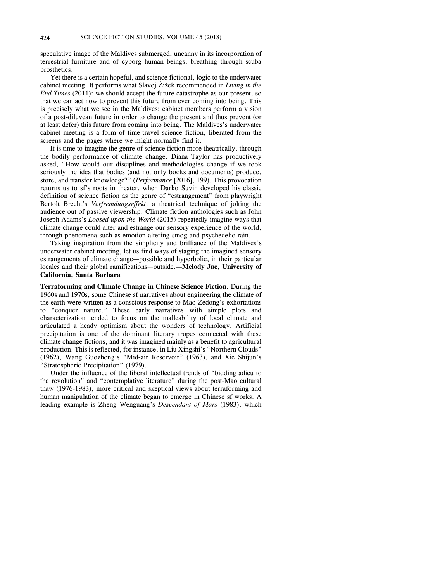terrestrial furniture and of cyborg human beings, breathing through scuba speculative image of the Maldives submerged, uncanny in its incorporation of prosthetics.

 Yet there is a certain hopeful, and science fictional, logic to the underwater cabinet meeting. It performs what Slavoj Žižek recommended in *Living in the*  that we can act now to prevent this future from ever coming into being. This at least defer) this future from coming into being. The Maldives's underwater cabinet meeting is a form of time-travel science fiction, liberated from the *End Times* (2011): we should accept the future catastrophe as our present, so is precisely what we see in the Maldives: cabinet members perform a vision of a post-diluvean future in order to change the present and thus prevent (or screens and the pages where we might normally find it.

 seriously the idea that bodies (and not only books and documents) produce, returns us to sf's roots in theater, when Darko Suvin developed his classic  Joseph Adams's *Loosed upon the World* (2015) repeatedly imagine ways that It is time to imagine the genre of science fiction more theatrically, through the bodily performance of climate change. Diana Taylor has productively asked, "How would our disciplines and methodologies change if we took store, and transfer knowledge?" (*Performance* [2016], 199). This provocation definition of science fiction as the genre of "estrangement" from playwright Bertolt Brecht's *Verfremdungseffekt*, a theatrical technique of jolting the audience out of passive viewership. Climate fiction anthologies such as John climate change could alter and estrange our sensory experience of the world, through phenomena such as emotion-altering smog and psychedelic rain.

 Taking inspiration from the simplicity and brilliance of the Maldives's underwater cabinet meeting, let us find ways of staging the imagined sensory estrangements of climate change—possible and hyperbolic, in their particular locales and their global ramifications—outside.**—Melody Jue, University of California, Santa Barbara** 

 **Terraforming and Climate Change in Chinese Science Fiction.** During the the earth were written as a conscious response to Mao Zedong's exhortations to "conquer nature." These early narratives with simple plots and characterization tended to focus on the malleability of local climate and articulated a heady optimism about the wonders of technology. Artificial precipitation is one of the dominant literary tropes connected with these climate change fictions, and it was imagined mainly as a benefit to agricultural production. This is reflected, for instance, in Liu Xingshi's "Northern Clouds" (1962), Wang Guozhong's "Mid-air Reservoir" (1963), and Xie Shijun's 1960s and 1970s, some Chinese sf narratives about engineering the climate of "Stratospheric Precipitation" (1979).

 human manipulation of the climate began to emerge in Chinese sf works. A Under the influence of the liberal intellectual trends of "bidding adieu to the revolution" and "contemplative literature" during the post-Mao cultural thaw (1976-1983), more critical and skeptical views about terraforming and leading example is Zheng Wenguang's *Descendant of Mars* (1983), which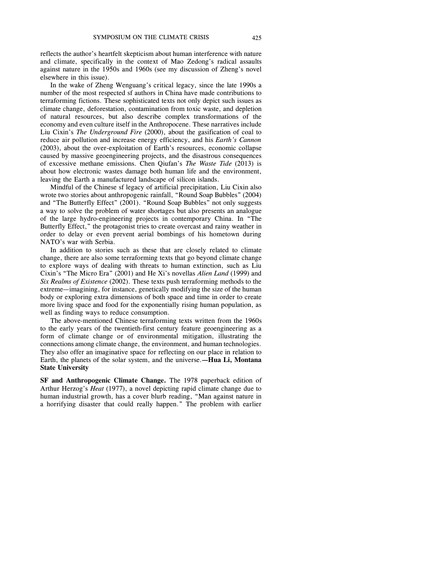and climate, specifically in the context of Mao Zedong's radical assaults against nature in the 1950s and 1960s (see my discussion of Zheng's novel reflects the author's heartfelt skepticism about human interference with nature elsewhere in this issue).

 terraforming fictions. These sophisticated texts not only depict such issues as climate change, deforestation, contamination from toxic waste, and depletion economy and even culture itself in the Anthropocene. These narratives include reduce air pollution and increase energy efficiency, and his *Earth's Cannon*  about how electronic wastes damage both human life and the environment, In the wake of Zheng Wenguang's critical legacy, since the late 1990s a number of the most respected sf authors in China have made contributions to of natural resources, but also describe complex transformations of the Liu Cixin's *The Underground Fire* (2000), about the gasification of coal to (2003), about the over-exploitation of Earth's resources, economic collapse caused by massive geoengineering projects, and the disastrous consequences of excessive methane emissions. Chen Qiufan's *The Waste Tide* (2013) is leaving the Earth a manufactured landscape of silicon islands.

 Mindful of the Chinese sf legacy of artificial precipitation, Liu Cixin also wrote two stories about anthropogenic rainfall, "Round Soap Bubbles" (2004) and "The Butterfly Effect" (2001). "Round Soap Bubbles" not only suggests of the large hydro-engineering projects in contemporary China. In "The Butterfly Effect," the protagonist tries to create overcast and rainy weather in order to delay or even prevent aerial bombings of his hometown during a way to solve the problem of water shortages but also presents an analogue NATO's war with Serbia.

 In addition to stories such as these that are closely related to climate change, there are also some terraforming texts that go beyond climate change to explore ways of dealing with threats to human extinction, such as Liu *Six Realms of Existence* (2002). These texts push terraforming methods to the extreme—imagining, for instance, genetically modifying the size of the human body or exploring extra dimensions of both space and time in order to create more living space and food for the exponentially rising human population, as Cixin's "The Micro Era" (2001) and He Xi's novellas *Alien Land* (1999) and well as finding ways to reduce consumption.

 The above-mentioned Chinese terraforming texts written from the 1960s to the early years of the twentieth-first century feature geoengineering as a connections among climate change, the environment, and human technologies. They also offer an imaginative space for reflecting on our place in relation to form of climate change or of environmental mitigation, illustrating the Earth, the planets of the solar system, and the universe.**—Hua Li, Montana State University** 

 **SF and Anthropogenic Climate Change.** The 1978 paperback edition of a horrifying disaster that could really happen." The problem with earlier Arthur Herzog's *Heat* (1977), a novel depicting rapid climate change due to human industrial growth, has a cover blurb reading, "Man against nature in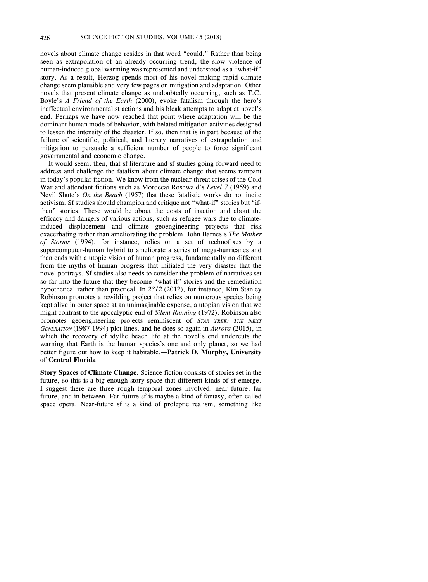novels about climate change resides in that word "could." Rather than being seen as extrapolation of an already occurring trend, the slow violence of human-induced global warming was represented and understood as a "what-if" story. As a result, Herzog spends most of his novel making rapid climate change seem plausible and very few pages on mitigation and adaptation. Other Boyle's *A Friend of the Earth* (2000), evoke fatalism through the hero's ineffectual environmentalist actions and his bleak attempts to adapt at novel's dominant human mode of behavior, with belated mitigation activities designed to lessen the intensity of the disaster. If so, then that is in part because of the failure of scientific, political, and literary narratives of extrapolation and mitigation to persuade a sufficient number of people to force significant novels that present climate change as undoubtedly occurring, such as T.C. end. Perhaps we have now reached that point where adaptation will be the governmental and economic change.

 in today's popular fiction. We know from the nuclear-threat crises of the Cold Nevil Shute's *On the Beach* (1957) that these fatalistic works do not incite activism. Sf studies should champion and critique not "what-if" stories but "if- then" stories. These would be about the costs of inaction and about the efficacy and dangers of various actions, such as refugee wars due to climate- exacerbating rather than ameliorating the problem. John Barnes's *The Mother of Storms* (1994), for instance, relies on a set of technofixes by a supercomputer-human hybrid to ameliorate a series of mega-hurricanes and then ends with a utopic vision of human progress, fundamentally no different from the myths of human progress that initiated the very disaster that the novel portrays. Sf studies also needs to consider the problem of narratives set hypothetical rather than practical. In *2312* (2012), for instance, Kim Stanley kept alive in outer space at an unimaginable expense, a utopian vision that we  promotes geoengineering projects reminiscent of *STAR TREK: THE NEXT GENERATION* (1987-1994) plot-lines, and he does so again in *Aurora* (2015), in warning that Earth is the human species's one and only planet, so we had better figure out how to keep it habitable.**—Patrick D. Murphy, University**  It would seem, then, that sf literature and sf studies going forward need to address and challenge the fatalism about climate change that seems rampant War and attendant fictions such as Mordecai Roshwald's *Level 7* (1959) and induced displacement and climate geoengineering projects that risk so far into the future that they become "what-if" stories and the remediation Robinson promotes a rewilding project that relies on numerous species being might contrast to the apocalyptic end of *Silent Running* (1972). Robinson also which the recovery of idyllic beach life at the novel's end undercuts the **of Central Florida** 

 **Story Spaces of Climate Change.** Science fiction consists of stories set in the future, so this is a big enough story space that different kinds of sf emerge. I suggest there are three rough temporal zones involved: near future, far future, and in-between. Far-future sf is maybe a kind of fantasy, often called space opera. Near-future sf is a kind of proleptic realism, something like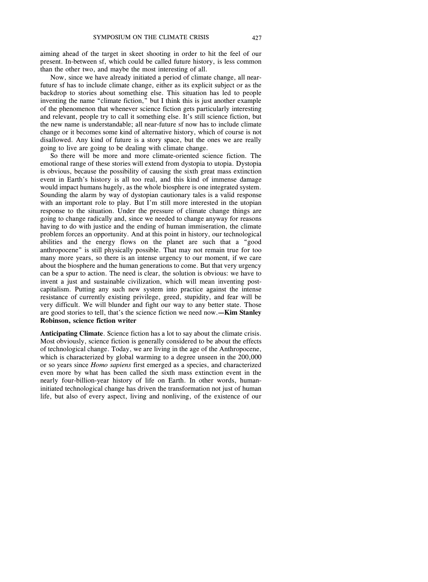aiming ahead of the target in skeet shooting in order to hit the feel of our present. In-between sf, which could be called future history, is less common than the other two, and maybe the most interesting of all.

 Now, since we have already initiated a period of climate change, all near- backdrop to stories about something else. This situation has led to people inventing the name "climate fiction," but I think this is just another example and relevant, people try to call it something else. It's still science fiction, but disallowed. Any kind of future is a story space, but the ones we are really future sf has to include climate change, either as its explicit subject or as the of the phenomenon that whenever science fiction gets particularly interesting the new name is understandable; all near-future sf now has to include climate change or it becomes some kind of alternative history, which of course is not going to live are going to be dealing with climate change.

 emotional range of these stories will extend from dystopia to utopia. Dystopia is obvious, because the possibility of causing the sixth great mass extinction event in Earth's history is all too real, and this kind of immense damage Sounding the alarm by way of dystopian cautionary tales is a valid response with an important role to play. But I'm still more interested in the utopian going to change radically and, since we needed to change anyway for reasons having to do with justice and the ending of human immiseration, the climate problem forces an opportunity. And at this point in history, our technological abilities and the energy flows on the planet are such that a "good anthropocene" is still physically possible. That may not remain true for too many more years, so there is an intense urgency to our moment, if we care about the biosphere and the human generations to come. But that very urgency can be a spur to action. The need is clear, the solution is obvious: we have to invent a just and sustainable civilization, which will mean inventing post- capitalism. Putting any such new system into practice against the intense resistance of currently existing privilege, greed, stupidity, and fear will be very difficult. We will blunder and fight our way to any better state. Those are good stories to tell, that's the science fiction we need now.**—Kim Stanley**  So there will be more and more climate-oriented science fiction. The would impact humans hugely, as the whole biosphere is one integrated system. response to the situation. Under the pressure of climate change things are **Robinson, science fiction writer** 

 **Anticipating Climate**. Science fiction has a lot to say about the climate crisis. Most obviously, science fiction is generally considered to be about the effects of technological change. Today, we are living in the age of the Anthropocene, which is characterized by global warming to a degree unseen in the 200,000 even more by what has been called the sixth mass extinction event in the nearly four-billion-year history of life on Earth. In other words, human- life, but also of every aspect, living and nonliving, of the existence of our or so years since *Homo sapiens* first emerged as a species, and characterized initiated technological change has driven the transformation not just of human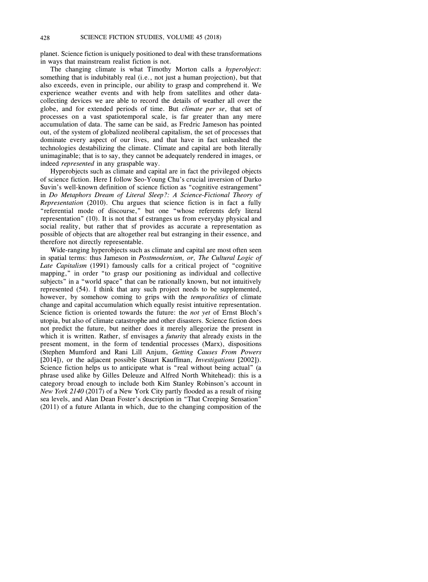planet. Science fiction is uniquely positioned to deal with these transformations in ways that mainstream realist fiction is not.

 also exceeds, even in principle, our ability to grasp and comprehend it. We experience weather events and with help from satellites and other data- collecting devices we are able to record the details of weather all over the globe, and for extended periods of time. But *climate per se*, that set of processes on a vast spatiotemporal scale, is far greater than any mere dominate every aspect of our lives, and that have in fact unleashed the unimaginable; that is to say, they cannot be adequately rendered in images, or The changing climate is what Timothy Morton calls a *hyperobject*: something that is indubitably real (i.e., not just a human projection), but that accumulation of data. The same can be said, as Fredric Jameson has pointed out, of the system of globalized neoliberal capitalism, the set of processes that technologies destabilizing the climate. Climate and capital are both literally indeed *represented* in any graspable way.

 Suvin's well-known definition of science fiction as "cognitive estrangement" *Representation* (2010). Chu argues that science fiction is in fact a fully representation" (10). It is not that sf estranges us from everyday physical and possible of objects that are altogether real but estranging in their essence, and Hyperobjects such as climate and capital are in fact the privileged objects of science fiction. Here I follow Seo-Young Chu's crucial inversion of Darko in *Do Metaphors Dream of Literal Sleep?: A Science-Fictional Theory of*  "referential mode of discourse," but one "whose referents defy literal social reality, but rather that sf provides as accurate a representation as therefore not directly representable.

 in spatial terms: thus Jameson in *Postmodernism, or, The Cultural Logic of*  mapping," in order "to grasp our positioning as individual and collective subjects" in a "world space" that can be rationally known, but not intuitively represented (54). I think that any such project needs to be supplemented, however, by somehow coming to grips with the *temporalities* of climate change and capital accumulation which equally resist intuitive representation. Science fiction is oriented towards the future: the *not yet* of Ernst Bloch's which it is written. Rather, sf envisages a *futurity* that already exists in the present moment, in the form of tendential processes (Marx), dispositions (Stephen Mumford and Rani Lill Anjum, *Getting Causes From Powers*  Science fiction helps us to anticipate what is "real without being actual" (a phrase used alike by Gilles Deleuze and Alfred North Whitehead): this is a category broad enough to include both Kim Stanley Robinson's account in *New York 2140* (2017) of a New York City partly flooded as a result of rising sea levels, and Alan Dean Foster's description in "That Creeping Sensation" (2011) of a future Atlanta in which, due to the changing composition of the Wide-ranging hyperobjects such as climate and capital are most often seen *Late Capitalism* (1991) famously calls for a critical project of "cognitive utopia, but also of climate catastrophe and other disasters. Science fiction does not predict the future, but neither does it merely allegorize the present in [2014]), or the adjacent possible (Stuart Kauffman, *Investigations* [2002]).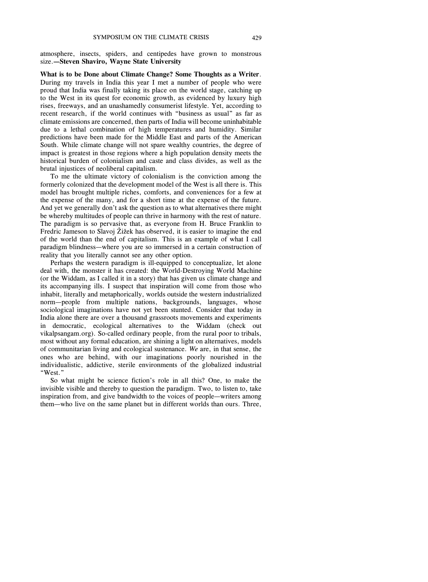atmosphere, insects, spiders, and centipedes have grown to monstrous size.**—Steven Shaviro, Wayne State University** 

 proud that India was finally taking its place on the world stage, catching up to the West in its quest for economic growth, as evidenced by luxury high rises, freeways, and an unashamedly consumerist lifestyle. Yet, according to recent research, if the world continues with "business as usual" as far as due to a lethal combination of high temperatures and humidity. Similar predictions have been made for the Middle East and parts of the American impact is greatest in those regions where a high population density meets the historical burden of colonialism and caste and class divides, as well as the **What is to be Done about Climate Change? Some Thoughts as a Writer**. During my travels in India this year I met a number of people who were climate emissions are concerned, then parts of India will become uninhabitable South. While climate change will not spare wealthy countries, the degree of brutal injustices of neoliberal capitalism.

 To me the ultimate victory of colonialism is the conviction among the formerly colonized that the development model of the West is all there is. This model has brought multiple riches, comforts, and conveniences for a few at the expense of the many, and for a short time at the expense of the future. And yet we generally don't ask the question as to what alternatives there might be whereby multitudes of people can thrive in harmony with the rest of nature. The paradigm is so pervasive that, as everyone from H. Bruce Franklin to of the world than the end of capitalism. This is an example of what I call paradigm blindness—where you are so immersed in a certain construction of Fredric Jameson to Slavoj Žižek has observed, it is easier to imagine the end reality that you literally cannot see any other option.

 Perhaps the western paradigm is ill-equipped to conceptualize, let alone deal with, the monster it has created: the World-Destroying World Machine (or the Widdam, as I called it in a story) that has given us climate change and inhabit, literally and metaphorically, worlds outside the western industrialized norm—people from multiple nations, backgrounds, languages, whose in democratic, ecological alternatives to the Widdam (check out vikalpsangam.org). So-called ordinary people, from the rural poor to tribals, most without any formal education, are shining a light on alternatives, models of communitarian living and ecological sustenance. *We* are, in that sense, the ones who are behind, with our imaginations poorly nourished in the its accompanying ills. I suspect that inspiration will come from those who sociological imaginations have not yet been stunted. Consider that today in India alone there are over a thousand grassroots movements and experiments individualistic, addictive, sterile environments of the globalized industrial "West."

 invisible visible and thereby to question the paradigm. Two, to listen to, take inspiration from, and give bandwidth to the voices of people—writers among them—who live on the same planet but in different worlds than ours. Three, So what might be science fiction's role in all this? One, to make the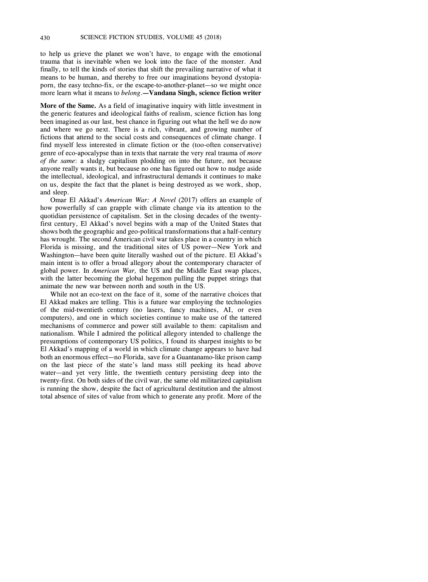to help us grieve the planet we won't have, to engage with the emotional trauma that is inevitable when we look into the face of the monster. And means to be human, and thereby to free our imaginations beyond dystopia- porn, the easy techno-fix, or the escape-to-another-planet—so we might once finally, to tell the kinds of stories that shift the prevailing narrative of what it more learn what it means to *belong*.**—Vandana Singh, science fiction writer** 

 **More of the Same.** As a field of imaginative inquiry with little investment in been imagined as our last, best chance in figuring out what the hell we do now and where we go next. There is a rich, vibrant, and growing number of fictions that attend to the social costs and consequences of climate change. I find myself less interested in climate fiction or the (too-often conservative) genre of eco-apocalypse than in texts that narrate the very real trauma of *more of the same*: a sludgy capitalism plodding on into the future, not because anyone really wants it, but because no one has figured out how to nudge aside the intellectual, ideological, and infrastructural demands it continues to make the generic features and ideological faiths of realism, science fiction has long on us, despite the fact that the planet is being destroyed as we work, shop, and sleep.

 how powerfully sf can grapple with climate change via its attention to the first century, El Akkad's novel begins with a map of the United States that has wrought. The second American civil war takes place in a country in which Florida is missing, and the traditional sites of US power—New York and Washington—have been quite literally washed out of the picture. El Akkad's main intent is to offer a broad allegory about the contemporary character of global power. In *American War,* the US and the Middle East swap places, with the latter becoming the global hegemon pulling the puppet strings that Omar El Akkad's *American War: A Novel* (2017) offers an example of quotidian persistence of capitalism. Set in the closing decades of the twentyshows both the geographic and geo-political transformations that a half-century animate the new war between north and south in the US.

 While not an eco-text on the face of it, some of the narrative choices that of the mid-twentieth century (no lasers, fancy machines, AI, or even computers), and one in which societies continue to make use of the tattered nationalism. While I admired the political allegory intended to challenge the presumptions of contemporary US politics, I found its sharpest insights to be El Akkad's mapping of a world in which climate change appears to have had both an enormous effect—no Florida, save for a Guantanamo-like prison camp on the last piece of the state's land mass still peeking its head above water—and yet very little, the twentieth century persisting deep into the twenty-first. On both sides of the civil war, the same old militarized capitalism total absence of sites of value from which to generate any profit. More of the El Akkad makes are telling. This is a future war employing the technologies mechanisms of commerce and power still available to them: capitalism and is running the show, despite the fact of agricultural destitution and the almost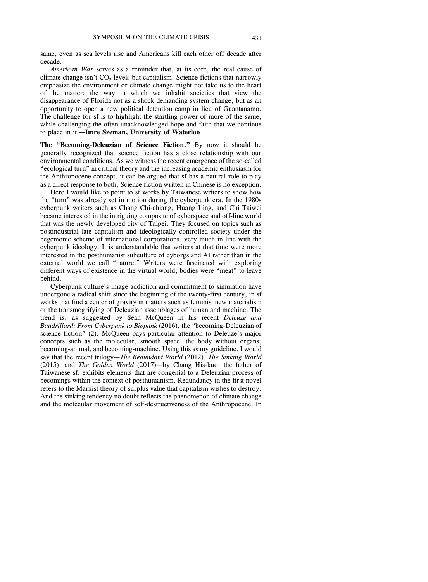same, even as sea levels rise and Americans kill each other off decade after decade.

climate change isn't  $CO<sub>2</sub>$  levels but capitalism. Science fictions that narrowly emphasize the environment or climate change might not take us to the heart of the matter: the way in which we inhabit societies that view the disappearance of Florida not as a shock demanding system change, but as an opportunity to open a new political detention camp in lieu of Guantanamo. *American War* serves as a reminder that, at its core, the real cause of The challenge for sf is to highlight the startling power of more of the same, while challenging the often-unacknowledged hope and faith that we continue to place in it.**—Imre Szeman, University of Waterloo** 

 **The "Becoming-Deleuzian of Science Fiction."** By now it should be generally recognized that science fiction has a close relationship with our "ecological turn" in critical theory and the increasing academic enthusiasm for as a direct response to both. Science fiction written in Chinese is no exception. environmental conditions. As we witness the recent emergence of the so-called the Anthropocene concept, it can be argued that sf has a natural role to play

 Here I would like to point to sf works by Taiwanese writers to show how the "turn" was already set in motion during the cyberpunk era. In the 1980s cyberpunk writers such as Chang Chi-chiang, Huang Ling, and Chi Taiwei became interested in the intriguing composite of cyberspace and off-line world postindustrial late capitalism and ideologically controlled society under the hegemonic scheme of international corporations, very much in line with the interested in the posthumanist subculture of cyborgs and AI rather than in the external world we call "nature." Writers were fascinated with exploring that was the newly developed city of Taipei. They focused on topics such as cyberpunk ideology. It is understandable that writers at that time were more different ways of existence in the virtual world; bodies were "meat" to leave behind.

 Cyberpunk culture's image addiction and commitment to simulation have works that find a center of gravity in matters such as feminist new materialism or the transmogrifying of Deleuzian assemblages of human and machine. The trend is, as suggested by Sean McQueen in his recent *Deleuze and*  science fiction" (2). McQueen pays particular attention to Deleuze's major becoming-animal, and becoming-machine. Using this as my guideline, I would (2015), and *The Golden World* (2017)—by Chang His-kuo, the father of becomings within the context of posthumanism. Redundancy in the first novel refers to the Marxist theory of surplus value that capitalism wishes to destroy. And the sinking tendency no doubt reflects the phenomenon of climate change undergone a radical shift since the beginning of the twenty-first century, in sf *Baudrillard: From Cyberpunk to Biopunk* (2016), the "becoming-Deleuzian of concepts such as the molecular, smooth space, the body without organs, say that the recent trilogy—*The Redundant World* (2012), *The Sinking World*  Taiwanese sf, exhibits elements that are congenial to a Deleuzian process of and the molecular movement of self-destructiveness of the Anthropocene. In